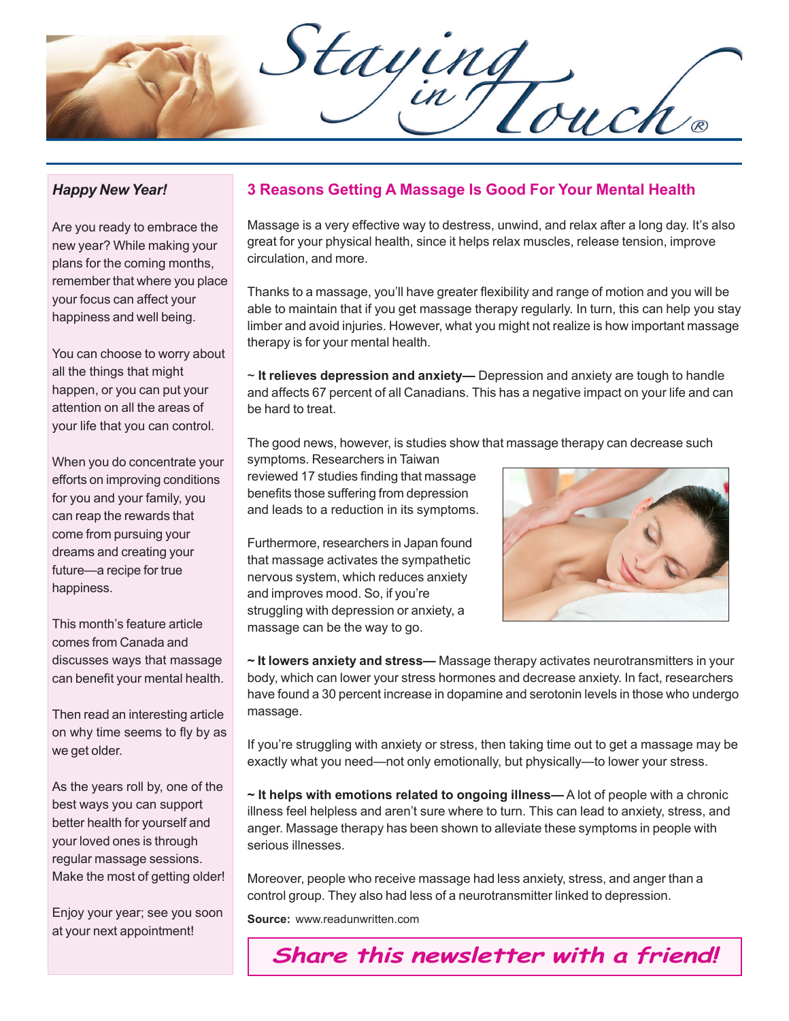Staying

## *Happy New Year!*

Are you ready to embrace the new year? While making your plans for the coming months, remember that where you place your focus can affect your happiness and well being.

You can choose to worry about all the things that might happen, or you can put your attention on all the areas of your life that you can control.

When you do concentrate your efforts on improving conditions for you and your family, you can reap the rewards that come from pursuing your dreams and creating your future—a recipe for true happiness.

This month's feature article comes from Canada and discusses ways that massage can benefit your mental health.

Then read an interesting article on why time seems to fly by as we get older.

As the years roll by, one of the best ways you can support better health for yourself and your loved ones is through regular massage sessions. Make the most of getting older!

Enjoy your year; see you soon at your next appointment!

## **3 Reasons Getting A Massage Is Good For Your Mental Health**

Massage is a very effective way to destress, unwind, and relax after a long day. It's also great for your physical health, since it helps relax muscles, release tension, improve circulation, and more.

Thanks to a massage, you'll have greater flexibility and range of motion and you will be able to maintain that if you get massage therapy regularly. In turn, this can help you stay limber and avoid injuries. However, what you might not realize is how important massage therapy is for your mental health.

~ **It relieves depression and anxiety—** Depression and anxiety are tough to handle and affects 67 percent of all Canadians. This has a negative impact on your life and can be hard to treat.

The good news, however, is studies show that massage therapy can decrease such

symptoms. Researchers in Taiwan reviewed 17 studies finding that massage benefits those suffering from depression and leads to a reduction in its symptoms.

Furthermore, researchers in Japan found that massage activates the sympathetic nervous system, which reduces anxiety and improves mood. So, if you're struggling with depression or anxiety, a massage can be the way to go.



**~ It lowers anxiety and stress—** Massage therapy activates neurotransmitters in your body, which can lower your stress hormones and decrease anxiety. In fact, researchers have found a 30 percent increase in dopamine and serotonin levels in those who undergo massage.

If you're struggling with anxiety or stress, then taking time out to get a massage may be exactly what you need—not only emotionally, but physically—to lower your stress.

**~ It helps with emotions related to ongoing illness—** A lot of people with a chronic illness feel helpless and aren't sure where to turn. This can lead to anxiety, stress, and anger. Massage therapy has been shown to alleviate these symptoms in people with serious illnesses.

Moreover, people who receive massage had less anxiety, stress, and anger than a control group. They also had less of a neurotransmitter linked to depression.

**Source:** www.readunwritten.com

**Share this newsletter with a friend!**